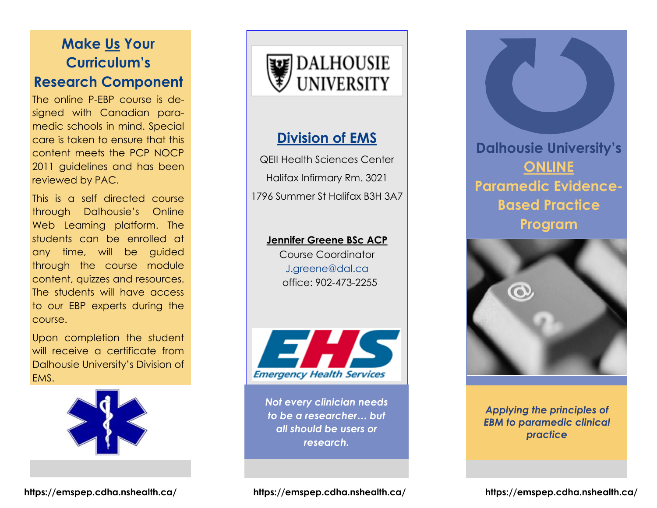# **Make Us Your Curriculum's Research Component**

The online P-EBP course is designed with Canadian paramedic schools in mind. Special care is taken to ensure that this content meets the PCP NOCP 2011 guidelines and has been reviewed by PAC.

This is a self directed course through Dalhousie's Online Web Learning platform. The students can be enrolled at any time, will be guided through the course module content, quizzes and resources. The students will have access to our EBP experts during the course.

Upon completion the student will receive a certificate from Dalhousie University's Division of EMS.





#### **Division of EMS**

QEII Health Sciences Center Halifax Infirmary Rm. 3021 1796 Summer St Halifax B3H 3A7

#### **Jennifer Greene BSc ACP**

Course Coordinator J.greene@dal.ca office: 902-473-2255



*Not every clinician needs to be a researcher… but all should be users or research.* 

**Dalhousie University's ONLINE Paramedic Evidence-Based Practice Program** 



*Applying the principles of EBM to paramedic clinical practice*

**https://emspep.cdha.nshealth.ca/ https://emspep.cdha.nshealth.ca/ https://emspep.cdha.nshealth.ca/**